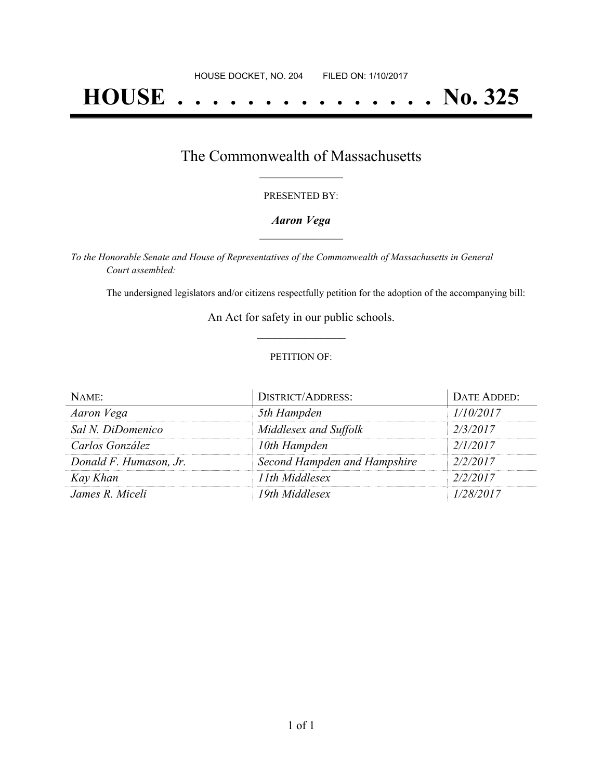# **HOUSE . . . . . . . . . . . . . . . No. 325**

### The Commonwealth of Massachusetts **\_\_\_\_\_\_\_\_\_\_\_\_\_\_\_\_\_**

#### PRESENTED BY:

#### *Aaron Vega* **\_\_\_\_\_\_\_\_\_\_\_\_\_\_\_\_\_**

*To the Honorable Senate and House of Representatives of the Commonwealth of Massachusetts in General Court assembled:*

The undersigned legislators and/or citizens respectfully petition for the adoption of the accompanying bill:

An Act for safety in our public schools. **\_\_\_\_\_\_\_\_\_\_\_\_\_\_\_**

#### PETITION OF:

| NAME:                  | <b>DISTRICT/ADDRESS:</b>     | DATE ADDED: |
|------------------------|------------------------------|-------------|
| Aaron Vega             | 5th Hampden                  | 1/10/2017   |
| Sal N. DiDomenico      | Middlesex and Suffolk        | 2/3/2017    |
| Carlos González        | 10th Hampden                 | 2/1/2017    |
| Donald F. Humason, Jr. | Second Hampden and Hampshire | 2/2/2017    |
| Kay Khan               | 11th Middlesex               | 2/2/2017    |
| James R. Miceli        | 19th Middlesex               | 1/28/2017   |